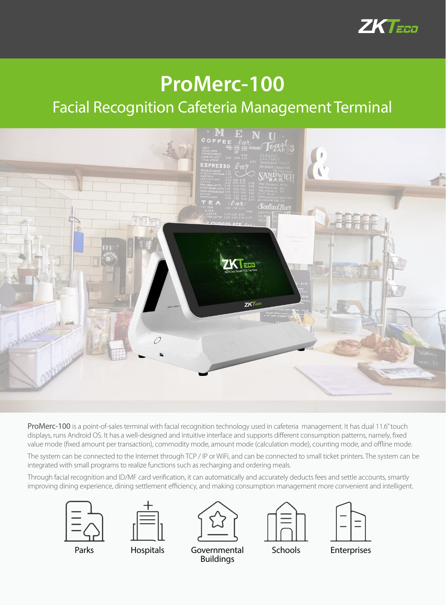

## **ProMerc-100**

## Facial Recognition Cafeteria Management Terminal



ProMerc-100 is a point-of-sales terminal with facial recognition technology used in cafeteria management. It has dual 11.6" touch displays, runs Android OS. It has a well-designed and intuitive interface and supports different consumption patterns, namely, fixed value mode (fixed amount per transaction), commodity mode, amount mode (calculation mode), counting mode, and offline mode.

The system can be connected to the Internet through TCP / IP or WiFi, and can be connected to small ticket printers. The system can be integrated with small programs to realize functions such as recharging and ordering meals.

Through facial recognition and ID/MF card verification, it can automatically and accurately deducts fees and settle accounts, smartly improving dining experience, dining settlement efficiency, and making consumption management more convenient and intelligent.









Parks Hospitals

Governmental Schools Enterprises Buildings